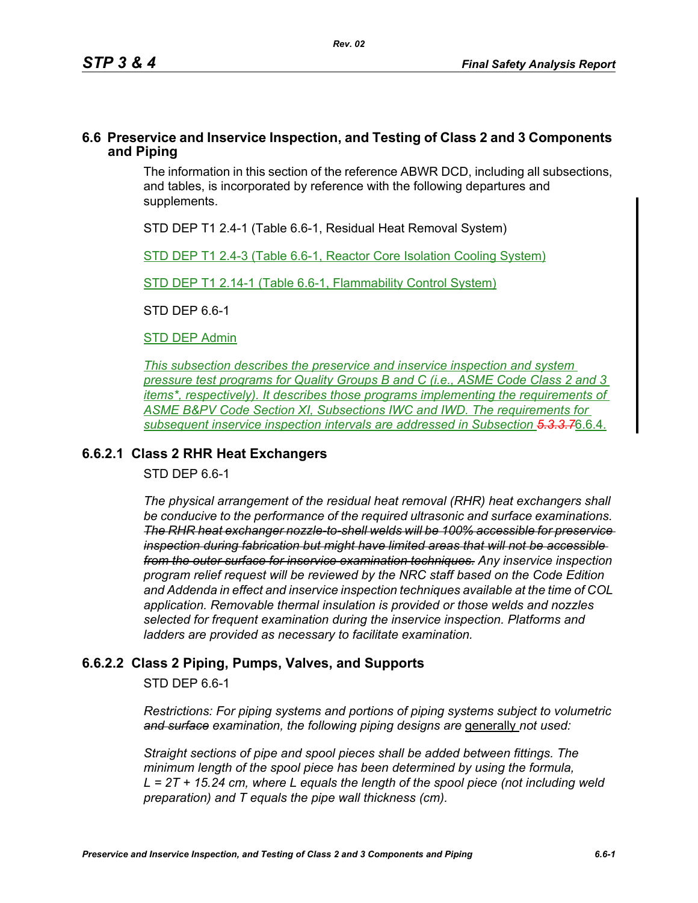## **6.6 Preservice and Inservice Inspection, and Testing of Class 2 and 3 Components and Piping**

The information in this section of the reference ABWR DCD, including all subsections, and tables, is incorporated by reference with the following departures and supplements.

STD DEP T1 2.4-1 (Table 6.6-1, Residual Heat Removal System)

STD DEP T1 2.4-3 (Table 6.6-1, Reactor Core Isolation Cooling System)

STD DEP T1 2.14-1 (Table 6.6-1, Flammability Control System)

STD DEP 6.6-1

**STD DEP Admin** 

*This subsection describes the preservice and inservice inspection and system pressure test programs for Quality Groups B and C (i.e., ASME Code Class 2 and 3 items\*, respectively). It describes those programs implementing the requirements of ASME B&PV Code Section XI, Subsections IWC and IWD. The requirements for subsequent inservice inspection intervals are addressed in Subsection 5.3.3.7*6.6.4.

# **6.6.2.1 Class 2 RHR Heat Exchangers**

STD DEP 6.6-1

*The physical arrangement of the residual heat removal (RHR) heat exchangers shall be conducive to the performance of the required ultrasonic and surface examinations. The RHR heat exchanger nozzle-to-shell welds will be 100% accessible for preservice inspection during fabrication but might have limited areas that will not be accessible from the outer surface for inservice examination techniques. Any inservice inspection program relief request will be reviewed by the NRC staff based on the Code Edition and Addenda in effect and inservice inspection techniques available at the time of COL application. Removable thermal insulation is provided or those welds and nozzles selected for frequent examination during the inservice inspection. Platforms and ladders are provided as necessary to facilitate examination.*

# **6.6.2.2 Class 2 Piping, Pumps, Valves, and Supports**

STD DEP 6.6-1

*Restrictions: For piping systems and portions of piping systems subject to volumetric*  and surface examination, the following piping designs are *generally not used:* 

*Straight sections of pipe and spool pieces shall be added between fittings. The minimum length of the spool piece has been determined by using the formula, L = 2T + 15.24 cm, where L equals the length of the spool piece (not including weld preparation) and T equals the pipe wall thickness (cm).*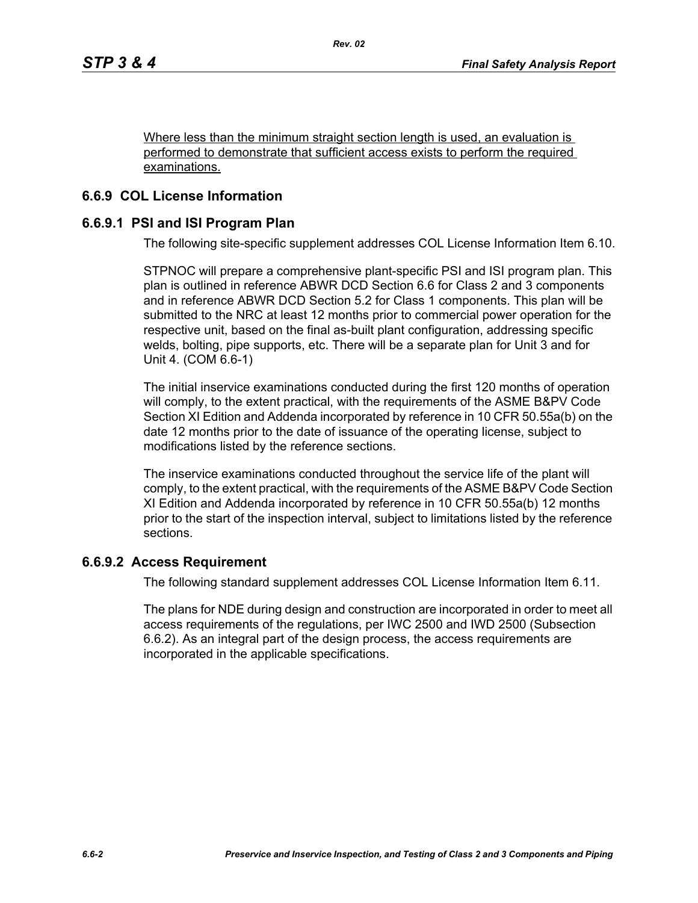Where less than the minimum straight section length is used, an evaluation is performed to demonstrate that sufficient access exists to perform the required examinations.

# **6.6.9 COL License Information**

# **6.6.9.1 PSI and ISI Program Plan**

The following site-specific supplement addresses COL License Information Item 6.10.

STPNOC will prepare a comprehensive plant-specific PSI and ISI program plan. This plan is outlined in reference ABWR DCD Section 6.6 for Class 2 and 3 components and in reference ABWR DCD Section 5.2 for Class 1 components. This plan will be submitted to the NRC at least 12 months prior to commercial power operation for the respective unit, based on the final as-built plant configuration, addressing specific welds, bolting, pipe supports, etc. There will be a separate plan for Unit 3 and for Unit 4. (COM 6.6-1)

The initial inservice examinations conducted during the first 120 months of operation will comply, to the extent practical, with the requirements of the ASME B&PV Code Section XI Edition and Addenda incorporated by reference in 10 CFR 50.55a(b) on the date 12 months prior to the date of issuance of the operating license, subject to modifications listed by the reference sections.

The inservice examinations conducted throughout the service life of the plant will comply, to the extent practical, with the requirements of the ASME B&PV Code Section XI Edition and Addenda incorporated by reference in 10 CFR 50.55a(b) 12 months prior to the start of the inspection interval, subject to limitations listed by the reference sections.

#### **6.6.9.2 Access Requirement**

The following standard supplement addresses COL License Information Item 6.11.

The plans for NDE during design and construction are incorporated in order to meet all access requirements of the regulations, per IWC 2500 and IWD 2500 (Subsection 6.6.2). As an integral part of the design process, the access requirements are incorporated in the applicable specifications.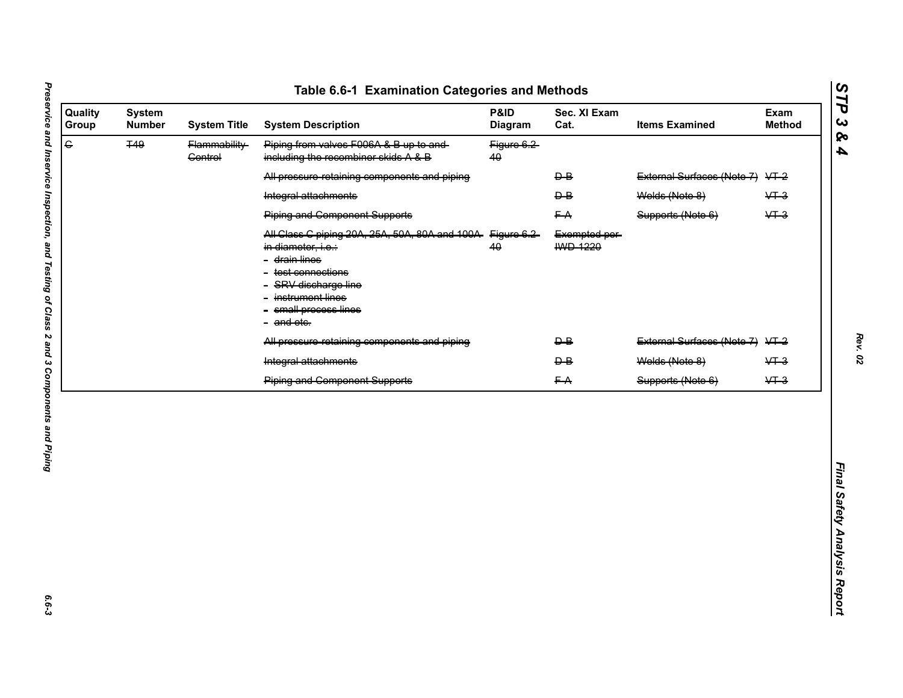| e<br><b>T49</b><br>Piping from valves F006A & B up to and-<br>Flammability-<br>Figure 6.2<br>including the recombiner skids A & B<br><b>Control</b><br>40<br>External Surfaces (Note 7) VT-2<br>All pressure retaining components and piping<br>$\overline{P}$<br>$\overline{P}$<br>Welds (Note 8)<br>Integral attachments<br><b>Piping and Component Supports</b><br>FA<br>Supports (Note 6)<br>All Class C piping 20A, 25A, 50A, 80A and 100A Figure 6.2-<br>Exempted per-<br>HWD-1220<br>40<br>in diameter, i.e.:<br>- drain lines<br>test connections<br>SRV discharge line<br>instrument lines | $&+3$<br>$&+3$ |
|-----------------------------------------------------------------------------------------------------------------------------------------------------------------------------------------------------------------------------------------------------------------------------------------------------------------------------------------------------------------------------------------------------------------------------------------------------------------------------------------------------------------------------------------------------------------------------------------------------|----------------|
|                                                                                                                                                                                                                                                                                                                                                                                                                                                                                                                                                                                                     |                |
|                                                                                                                                                                                                                                                                                                                                                                                                                                                                                                                                                                                                     |                |
|                                                                                                                                                                                                                                                                                                                                                                                                                                                                                                                                                                                                     |                |
|                                                                                                                                                                                                                                                                                                                                                                                                                                                                                                                                                                                                     |                |
| small process lines<br>- and ete.                                                                                                                                                                                                                                                                                                                                                                                                                                                                                                                                                                   |                |
| $\overline{P}$<br>External Surfaces (Note 7) VT-2<br>All pressure retaining components and piping                                                                                                                                                                                                                                                                                                                                                                                                                                                                                                   |                |
| Welds (Note 8)<br>Integral attachments<br>$\overline{P}$                                                                                                                                                                                                                                                                                                                                                                                                                                                                                                                                            | $&+3$          |
| <b>Piping and Component Supports</b><br>FA<br>Supports (Note 6)                                                                                                                                                                                                                                                                                                                                                                                                                                                                                                                                     | $&+3$          |

*Rev. 02*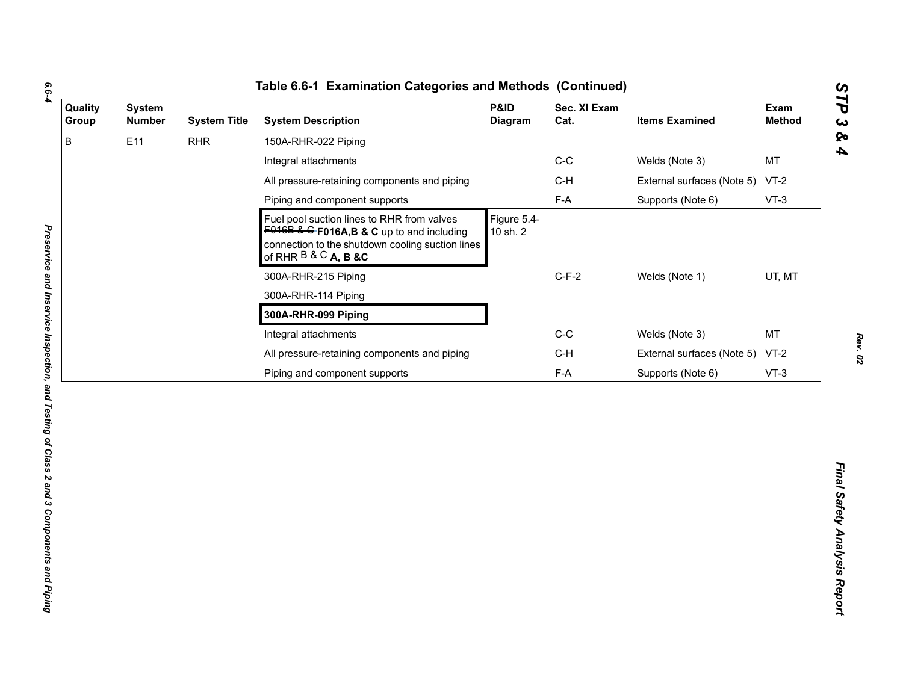| с |  |
|---|--|
| ٦ |  |
|   |  |
|   |  |
|   |  |

| B<br>E11<br><b>RHR</b><br>150A-RHR-022 Piping<br>$C-C$<br>Welds (Note 3)<br>Integral attachments<br>All pressure-retaining components and piping<br>$C-H$<br>External surfaces (Note 5)<br>$F-A$<br>Piping and component supports<br>Supports (Note 6)<br>Figure 5.4-<br>Fuel pool suction lines to RHR from valves<br>$F016B$ & G F016A, B & C up to and including<br>10 sh. 2<br>connection to the shutdown cooling suction lines<br>of RHR $\overline{B}$ & $\overline{G}$ A, B & C<br>$C-F-2$<br>300A-RHR-215 Piping<br>Welds (Note 1)<br>300A-RHR-114 Piping<br>300A-RHR-099 Piping<br>$C-C$<br>Integral attachments<br>Welds (Note 3)<br>$C-H$<br>All pressure-retaining components and piping<br>External surfaces (Note 5) | MT<br>$VT-2$<br>$VT-3$<br>UT, MT<br>MT<br>$VT-2$<br>$F-A$<br>Piping and component supports<br>Supports (Note 6)<br>$VT-3$ | <b>System</b><br><b>Number</b> | <b>System Title</b> | <b>System Description</b> | P&ID<br><b>Diagram</b> | Sec. XI Exam<br>Cat. | <b>Items Examined</b> | Exam<br><b>Method</b> |
|------------------------------------------------------------------------------------------------------------------------------------------------------------------------------------------------------------------------------------------------------------------------------------------------------------------------------------------------------------------------------------------------------------------------------------------------------------------------------------------------------------------------------------------------------------------------------------------------------------------------------------------------------------------------------------------------------------------------------------|---------------------------------------------------------------------------------------------------------------------------|--------------------------------|---------------------|---------------------------|------------------------|----------------------|-----------------------|-----------------------|
|                                                                                                                                                                                                                                                                                                                                                                                                                                                                                                                                                                                                                                                                                                                                    |                                                                                                                           |                                |                     |                           |                        |                      |                       |                       |
|                                                                                                                                                                                                                                                                                                                                                                                                                                                                                                                                                                                                                                                                                                                                    |                                                                                                                           |                                |                     |                           |                        |                      |                       |                       |
|                                                                                                                                                                                                                                                                                                                                                                                                                                                                                                                                                                                                                                                                                                                                    |                                                                                                                           |                                |                     |                           |                        |                      |                       |                       |
|                                                                                                                                                                                                                                                                                                                                                                                                                                                                                                                                                                                                                                                                                                                                    |                                                                                                                           |                                |                     |                           |                        |                      |                       |                       |
|                                                                                                                                                                                                                                                                                                                                                                                                                                                                                                                                                                                                                                                                                                                                    |                                                                                                                           |                                |                     |                           |                        |                      |                       |                       |
|                                                                                                                                                                                                                                                                                                                                                                                                                                                                                                                                                                                                                                                                                                                                    |                                                                                                                           |                                |                     |                           |                        |                      |                       |                       |
|                                                                                                                                                                                                                                                                                                                                                                                                                                                                                                                                                                                                                                                                                                                                    |                                                                                                                           |                                |                     |                           |                        |                      |                       |                       |
|                                                                                                                                                                                                                                                                                                                                                                                                                                                                                                                                                                                                                                                                                                                                    |                                                                                                                           |                                |                     |                           |                        |                      |                       |                       |
|                                                                                                                                                                                                                                                                                                                                                                                                                                                                                                                                                                                                                                                                                                                                    |                                                                                                                           |                                |                     |                           |                        |                      |                       |                       |
|                                                                                                                                                                                                                                                                                                                                                                                                                                                                                                                                                                                                                                                                                                                                    |                                                                                                                           |                                |                     |                           |                        |                      |                       |                       |
|                                                                                                                                                                                                                                                                                                                                                                                                                                                                                                                                                                                                                                                                                                                                    |                                                                                                                           |                                |                     |                           |                        |                      |                       |                       |
|                                                                                                                                                                                                                                                                                                                                                                                                                                                                                                                                                                                                                                                                                                                                    |                                                                                                                           |                                |                     |                           |                        |                      |                       |                       |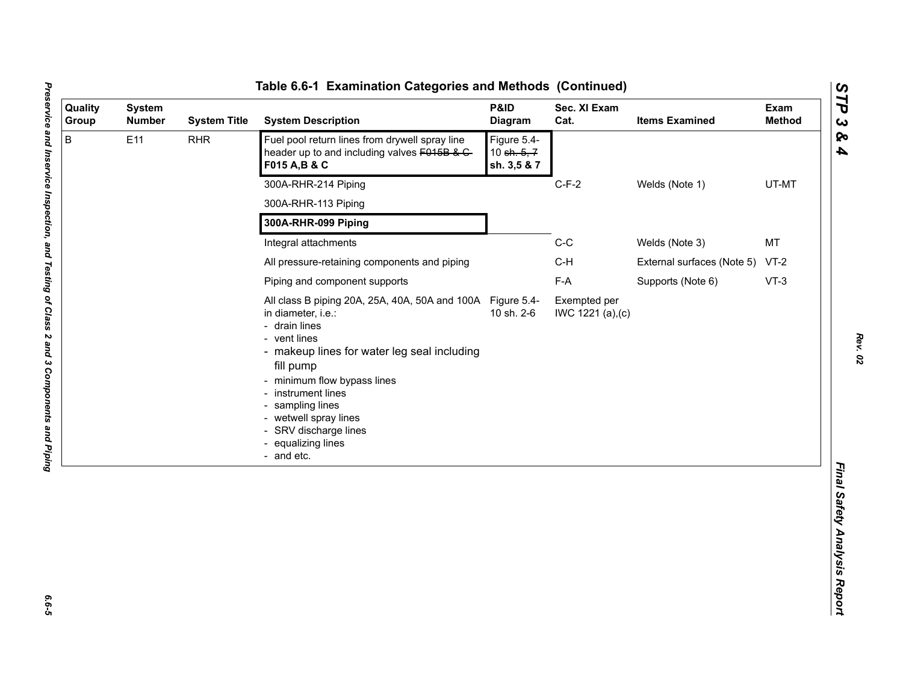| Quality<br>Group | <b>System</b><br><b>Number</b> | <b>System Title</b> | <b>System Description</b>                                                                                                                                                                                                                                                                                                              | P&ID<br><b>Diagram</b>                    | Sec. XI Exam<br>Cat.              | <b>Items Examined</b>           | Exam<br><b>Method</b> |
|------------------|--------------------------------|---------------------|----------------------------------------------------------------------------------------------------------------------------------------------------------------------------------------------------------------------------------------------------------------------------------------------------------------------------------------|-------------------------------------------|-----------------------------------|---------------------------------|-----------------------|
| B                | E11                            | <b>RHR</b>          | Fuel pool return lines from drywell spray line<br>header up to and including valves F015B & C-<br>F015 A, B & C                                                                                                                                                                                                                        | Figure 5.4-<br>10 sh. 5, 7<br>sh. 3,5 & 7 |                                   |                                 |                       |
|                  |                                |                     | 300A-RHR-214 Piping                                                                                                                                                                                                                                                                                                                    |                                           | $C-F-2$                           | Welds (Note 1)                  | UT-MT                 |
|                  |                                |                     | 300A-RHR-113 Piping                                                                                                                                                                                                                                                                                                                    |                                           |                                   |                                 |                       |
|                  |                                |                     | 300A-RHR-099 Piping                                                                                                                                                                                                                                                                                                                    |                                           |                                   |                                 |                       |
|                  |                                |                     | Integral attachments                                                                                                                                                                                                                                                                                                                   |                                           | $C-C$                             | Welds (Note 3)                  | MT                    |
|                  |                                |                     | All pressure-retaining components and piping                                                                                                                                                                                                                                                                                           |                                           | $C-H$                             | External surfaces (Note 5) VT-2 |                       |
|                  |                                |                     | Piping and component supports                                                                                                                                                                                                                                                                                                          |                                           | F-A                               | Supports (Note 6)               | $VT-3$                |
|                  |                                |                     | All class B piping 20A, 25A, 40A, 50A and 100A Figure 5.4-<br>in diameter, i.e.:<br>- drain lines<br>- vent lines<br>- makeup lines for water leg seal including<br>fill pump<br>- minimum flow bypass lines<br>- instrument lines<br>sampling lines<br>- wetwell spray lines<br>SRV discharge lines<br>equalizing lines<br>- and etc. | 10 sh. 2-6                                | Exempted per<br>IWC 1221 (a), (c) |                                 |                       |
|                  |                                |                     |                                                                                                                                                                                                                                                                                                                                        |                                           |                                   |                                 |                       |

*Rev. 02*

*Preservice and Inservice Inspection, and Testing of Class 2 and 3 Components and Piping 6.6-5*  $6.6 - 5$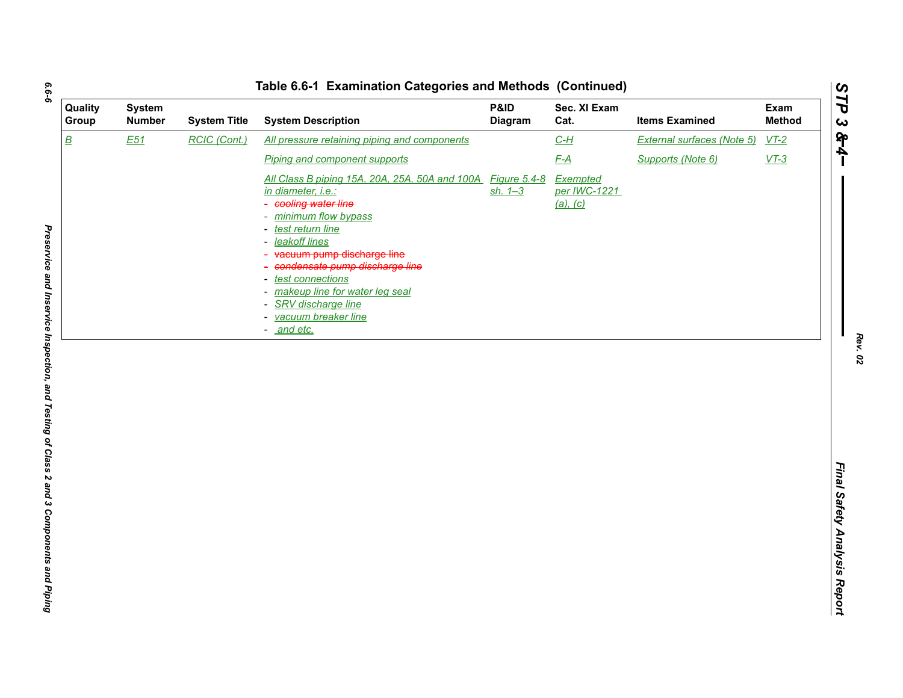| <b>Quality</b><br>Group  | <b>System</b><br><b>Number</b> | <b>System Title</b> | <b>System Description</b>                                                                                                                                                                                                                                                                                                                                                              | P&ID<br>Diagram             | Sec. XI Exam<br>Cat.                        | <b>Items Examined</b>      | Exam<br><b>Method</b> |
|--------------------------|--------------------------------|---------------------|----------------------------------------------------------------------------------------------------------------------------------------------------------------------------------------------------------------------------------------------------------------------------------------------------------------------------------------------------------------------------------------|-----------------------------|---------------------------------------------|----------------------------|-----------------------|
| $\underline{\mathsf{B}}$ | E51                            | RCIC (Cont.)        | All pressure retaining piping and components                                                                                                                                                                                                                                                                                                                                           |                             | $C-H$                                       | External surfaces (Note 5) | $VT-2$                |
|                          |                                |                     | Piping and component supports                                                                                                                                                                                                                                                                                                                                                          |                             | F-A                                         | Supports (Note 6)          | $VT-3$                |
|                          |                                |                     | All Class B piping 15A, 20A, 25A, 50A and 100A<br><i>in diameter, i.e.:</i><br>cooling water line<br>minimum flow bypass<br>۰<br>test return line<br>-<br>leakoff lines<br>۰<br>vacuum pump discharge line<br>condensate pump discharge line<br>test connections<br>۰<br>makeup line for water leg seal<br>-<br>SRV discharge line<br>-<br>vacuum breaker line<br>-<br><u>and etc.</u> | Figure 5.4-8<br>$sh. 1 - 3$ | Exempted<br>per IWC-1221<br><u>(a), (c)</u> |                            |                       |